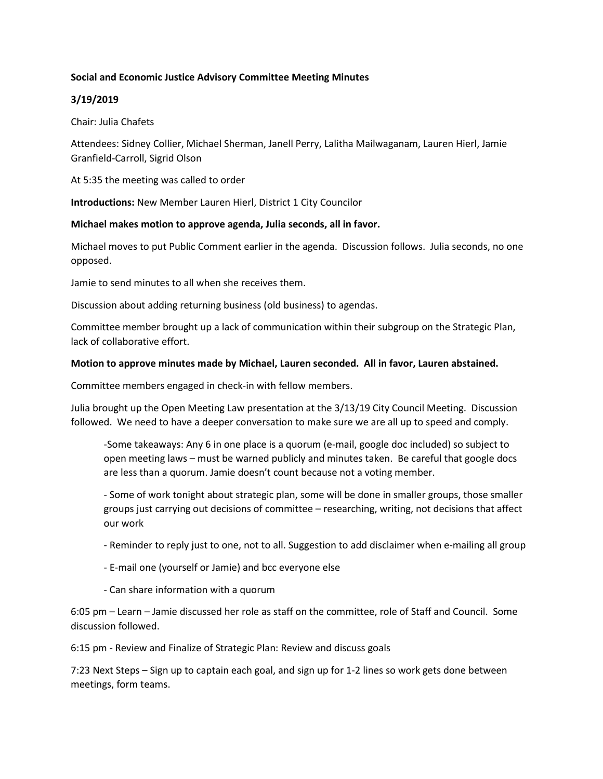## **Social and Economic Justice Advisory Committee Meeting Minutes**

## **3/19/2019**

Chair: Julia Chafets

Attendees: Sidney Collier, Michael Sherman, Janell Perry, Lalitha Mailwaganam, Lauren Hierl, Jamie Granfield-Carroll, Sigrid Olson

At 5:35 the meeting was called to order

**Introductions:** New Member Lauren Hierl, District 1 City Councilor

## **Michael makes motion to approve agenda, Julia seconds, all in favor.**

Michael moves to put Public Comment earlier in the agenda. Discussion follows. Julia seconds, no one opposed.

Jamie to send minutes to all when she receives them.

Discussion about adding returning business (old business) to agendas.

Committee member brought up a lack of communication within their subgroup on the Strategic Plan, lack of collaborative effort.

## **Motion to approve minutes made by Michael, Lauren seconded. All in favor, Lauren abstained.**

Committee members engaged in check-in with fellow members.

Julia brought up the Open Meeting Law presentation at the 3/13/19 City Council Meeting. Discussion followed. We need to have a deeper conversation to make sure we are all up to speed and comply.

-Some takeaways: Any 6 in one place is a quorum (e-mail, google doc included) so subject to open meeting laws – must be warned publicly and minutes taken. Be careful that google docs are less than a quorum. Jamie doesn't count because not a voting member.

- Some of work tonight about strategic plan, some will be done in smaller groups, those smaller groups just carrying out decisions of committee – researching, writing, not decisions that affect our work

- Reminder to reply just to one, not to all. Suggestion to add disclaimer when e-mailing all group
- E-mail one (yourself or Jamie) and bcc everyone else
- Can share information with a quorum

6:05 pm – Learn – Jamie discussed her role as staff on the committee, role of Staff and Council. Some discussion followed.

6:15 pm - Review and Finalize of Strategic Plan: Review and discuss goals

7:23 Next Steps – Sign up to captain each goal, and sign up for 1-2 lines so work gets done between meetings, form teams.